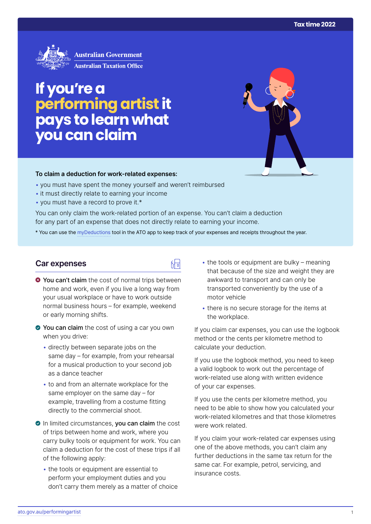

# **If you're a performing artist it pays to learn what you can claim**

#### **To claim a deduction for work‑related expenses:**

- you must have spent the money yourself and weren't reimbursed
- it must directly relate to earning your income
- you must have a record to prove it.\*

You can only claim the work-related portion of an expense. You can't claim a deduction for any part of an expense that does not directly relate to earning your income.

\* You can use the [myDeductions](https://ato.gov.au/mydeductions) tool in the ATO app to keep track of your expenses and receipts throughout the year.

品

### **Car expenses**

- $\bullet$  You can't claim the cost of normal trips between home and work, even if you live a long way from your usual workplace or have to work outside normal business hours – for example, weekend or early morning shifts.
- ◆ You can claim the cost of using a car you own when you drive:
	- directly between separate jobs on the same day – for example, from your rehearsal for a musical production to your second job as a dance teacher
	- to and from an alternate workplace for the same employer on the same day – for example, travelling from a costume fitting directly to the commercial shoot.
- In limited circumstances, you can claim the cost of trips between home and work, where you carry bulky tools or equipment for work. You can claim a deduction for the cost of these trips if all of the following apply:
	- the tools or equipment are essential to perform your employment duties and you don't carry them merely as a matter of choice
- $\bullet$  the tools or equipment are bulky meaning that because of the size and weight they are awkward to transport and can only be transported conveniently by the use of a motor vehicle
- there is no secure storage for the items at the workplace.

If you claim car expenses, you can use the logbook method or the cents per kilometre method to calculate your deduction.

If you use the logbook method, you need to keep a valid logbook to work out the percentage of work-related use along with written evidence of your car expenses.

If you use the cents per kilometre method, you need to be able to show how you calculated your work-related kilometres and that those kilometres were work related.

If you claim your work-related car expenses using one of the above methods, you can't claim any further deductions in the same tax return for the same car. For example, petrol, servicing, and insurance costs.